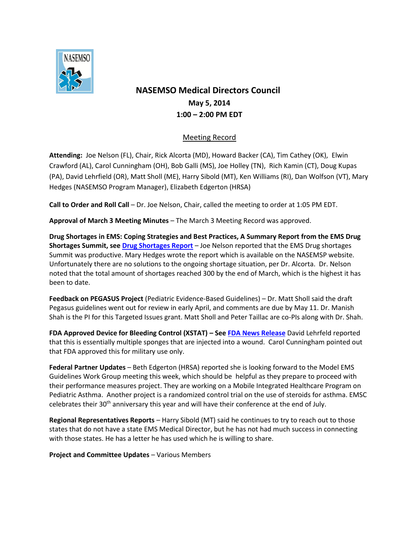

## **NASEMSO Medical Directors Council May 5, 2014 1:00 – 2:00 PM EDT**

## Meeting Record

**Attending:** Joe Nelson (FL), Chair, Rick Alcorta (MD), Howard Backer (CA), Tim Cathey (OK), Elwin Crawford (AL), Carol Cunningham (OH), Bob Galli (MS), Joe Holley (TN), Rich Kamin (CT), Doug Kupas (PA), David Lehrfield (OR), Matt Sholl (ME), Harry Sibold (MT), Ken Williams (RI), Dan Wolfson (VT), Mary Hedges (NASEMSO Program Manager), Elizabeth Edgerton (HRSA)

**Call to Order and Roll Call** – Dr. Joe Nelson, Chair, called the meeting to order at 1:05 PM EDT.

**Approval of March 3 Meeting Minutes** – The March 3 Meeting Record was approved.

**Drug Shortages in EMS: Coping Strategies and Best Practices, A Summary Report from the EMS Drug Shortages Summit, se[e Drug Shortages Report](http://www.nasemso.org/Resources/DrugShortages.asp)** – Joe Nelson reported that the EMS Drug shortages Summit was productive. Mary Hedges wrote the report which is available on the NASEMSP website. Unfortunately there are no solutions to the ongoing shortage situation, per Dr. Alcorta. Dr. Nelson noted that the total amount of shortages reached 300 by the end of March, which is the highest it has been to date.

**Feedback on PEGASUS Project** (Pediatric Evidence-Based Guidelines) – Dr. Matt Sholl said the draft Pegasus guidelines went out for review in early April, and comments are due by May 11. Dr. Manish Shah is the PI for this Targeted Issues grant. Matt Sholl and Peter Taillac are co-PIs along with Dr. Shah.

**FDA Approved Device for Bleeding Control (XSTAT) – See [FDA News Release](http://www.fda.gov/newsevents/newsroom/pressannouncements/ucm391755.htm)** David Lehrfeld reported that this is essentially multiple sponges that are injected into a wound. Carol Cunningham pointed out that FDA approved this for military use only.

**Federal Partner Updates** – Beth Edgerton (HRSA) reported she is looking forward to the Model EMS Guidelines Work Group meeting this week, which should be helpful as they prepare to proceed with their performance measures project. They are working on a Mobile Integrated Healthcare Program on Pediatric Asthma. Another project is a randomized control trial on the use of steroids for asthma. EMSC celebrates their 30th anniversary this year and will have their conference at the end of July.

**Regional Representatives Reports** – Harry Sibold (MT) said he continues to try to reach out to those states that do not have a state EMS Medical Director, but he has not had much success in connecting with those states. He has a letter he has used which he is willing to share.

**Project and Committee Updates** – Various Members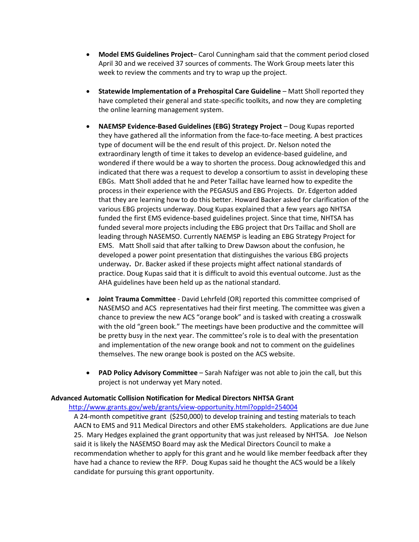- **Model EMS Guidelines Project** Carol Cunningham said that the comment period closed April 30 and we received 37 sources of comments. The Work Group meets later this week to review the comments and try to wrap up the project.
- **Statewide Implementation of a Prehospital Care Guideline** Matt Sholl reported they have completed their general and state-specific toolkits, and now they are completing the online learning management system.
- **NAEMSP Evidence-Based Guidelines (EBG) Strategy Project**  Doug Kupas reported they have gathered all the information from the face-to-face meeting. A best practices type of document will be the end result of this project. Dr. Nelson noted the extraordinary length of time it takes to develop an evidence-based guideline, and wondered if there would be a way to shorten the process. Doug acknowledged this and indicated that there was a request to develop a consortium to assist in developing these EBGs. Matt Sholl added that he and Peter Taillac have learned how to expedite the process in their experience with the PEGASUS and EBG Projects. Dr. Edgerton added that they are learning how to do this better. Howard Backer asked for clarification of the various EBG projects underway. Doug Kupas explained that a few years ago NHTSA funded the first EMS evidence-based guidelines project. Since that time, NHTSA has funded several more projects including the EBG project that Drs Taillac and Sholl are leading through NASEMSO. Currently NAEMSP is leading an EBG Strategy Project for EMS. Matt Sholl said that after talking to Drew Dawson about the confusion, he developed a power point presentation that distinguishes the various EBG projects underway**.** Dr. Backer asked if these projects might affect national standards of practice. Doug Kupas said that it is difficult to avoid this eventual outcome. Just as the AHA guidelines have been held up as the national standard.
- **Joint Trauma Committee** David Lehrfeld (OR) reported this committee comprised of NASEMSO and ACS representatives had their first meeting. The committee was given a chance to preview the new ACS "orange book" and is tasked with creating a crosswalk with the old "green book." The meetings have been productive and the committee will be pretty busy in the next year. The committee's role is to deal with the presentation and implementation of the new orange book and not to comment on the guidelines themselves. The new orange book is posted on the ACS website.
- **PAD Policy Advisory Committee** Sarah Nafziger was not able to join the call, but this project is not underway yet Mary noted.

## **Advanced Automatic Collision Notification for Medical Directors NHTSA Grant**

## <http://www.grants.gov/web/grants/view-opportunity.html?oppId=254004>

A 24-month competitive grant (\$250,000) to develop training and testing materials to teach AACN to EMS and 911 Medical Directors and other EMS stakeholders. Applications are due June 25. Mary Hedges explained the grant opportunity that was just released by NHTSA. Joe Nelson said it is likely the NASEMSO Board may ask the Medical Directors Council to make a recommendation whether to apply for this grant and he would like member feedback after they have had a chance to review the RFP. Doug Kupas said he thought the ACS would be a likely candidate for pursuing this grant opportunity.